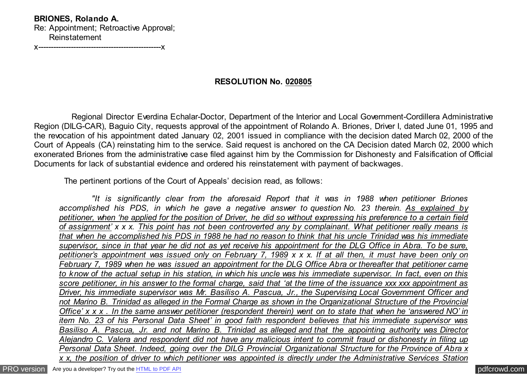**BRIONES, Rolando A.** Re: Appointment; Retroactive Approval; Reinstatement

x-------------------------------------------------x

## **RESOLUTION No. 020805**

 Regional Director Everdina Echalar-Doctor, Department of the Interior and Local Government-Cordillera Administrative Region (DILG-CAR), Baguio City, requests approval of the appointment of Rolando A. Briones, Driver I, dated June 01, 1995 and the revocation of his appointment dated January 02, 2001 issued in compliance with the decision dated March 02, 2000 of the Court of Appeals (CA) reinstating him to the service. Said request is anchored on the CA Decision dated March 02, 2000 which exonerated Briones from the administrative case filed against him by the Commission for Dishonesty and Falsification of Official Documents for lack of substantial evidence and ordered his reinstatement with payment of backwages.

The pertinent portions of the Court of Appeals' decision read, as follows:

 *"It is significantly clear from the aforesaid Report that it was in 1988 when petitioner Briones accomplished his PDS, in which he gave a negative answer to question No. 23 therein. As explained by petitioner, when 'he applied for the position of Driver, he did so without expressing his preference to a certain field of assignment' x x x. This point has not been controverted any by complainant. What petitioner really means is that when he accomplished his PDS in 1988 he had no reason to think that his uncle Trinidad was his immediate supervisor, since in that year he did not as yet receive his appointment for the DLG Office in Abra. To be sure, petitioner's appointment was issued only on February 7, 1989 x x x. If at all then, it must have been only on February 7, 1989 when he was issued an appointment for the DLG Office Abra or thereafter that petitioner came to know of the actual setup in his station, in which his uncle was his immediate supervisor. In fact, even on this score petitioner, in his answer to the formal charge, said that 'at the time of the issuance xxx xxx appointment as Driver, his immediate supervisor was Mr. Basiliso A. Pascua, Jr., the Supervising Local Government Officer and not Marino B. Trinidad as alleged in the Formal Charge as shown in the Organizational Structure of the Provincial Office' x x x . In the same answer petitioner (respondent therein) went on to state that when he 'answered NO' in item No. 23 of his Personal Data Sheet' in good faith respondent believes that his immediate supervisor was Basiliso A. Pascua, Jr. and not Marino B. Trinidad as alleged and that the appointing authority was Director Alejandro C. Valera and respondent did not have any malicious intent to commit fraud or dishonesty in filing up Personal Data Sheet. Indeed, going over the DILG Provincial Organizational Structure for the Province of Abra x x x, the position of driver to which petitioner was appointed is directly under the Administrative Services Station*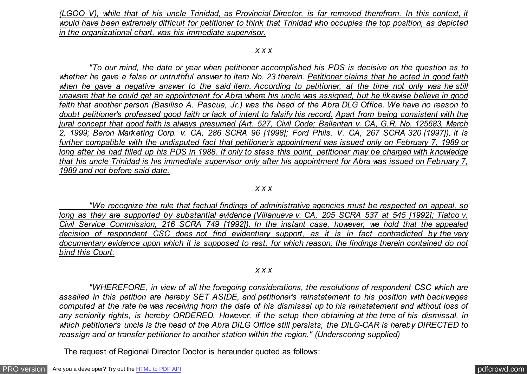*(LGOO V), while that of his uncle Trinidad, as Provincial Director, is far removed therefrom. In this context, it would have been extremely difficult for petitioner to think that Trinidad who occupies the top position, as depicted in the organizational chart, was his immediate supervisor.*

#### *x x x*

 *"To our mind, the date or year when petitioner accomplished his PDS is decisive on the question as to whether he gave a false or untruthful answer to item No. 23 therein. Petitioner claims that he acted in good faith* when he gave a negative answer to the said item. According to petitioner, at the time not only was he still *unaware that he could get an appointment for Abra where his uncle was assigned, but he likewise believe in good faith that another person (Basiliso A. Pascua, Jr.) was the head of the Abra DLG Office. We have no reason to doubt petitioner's professed good faith or lack of intent to falsify his record. Apart from being consistent with the jural concept that good faith is always presumed (Art. 527, Civil Code; Ballantan v. CA, G.R. No. 125683, March 2, 1999; Baron Marketing Corp. v. CA, 286 SCRA 96 [1998]; Ford Phils. V. CA, 267 SCRA 320 [1997]), it is further compatible with the undisputed fact that petitioner's appointment was issued only on February 7, 1989 or long after he had filled up his PDS in 1988. If only to stess this point, petitioner may be charged with knowledge that his uncle Trinidad is his immediate supervisor only after his appointment for Abra was issued on February 7, 1989 and not before said date.*

### *x x x*

 *"We recognize the rule that factual findings of administrative agencies must be respected on appeal, so long as they are supported by substantial evidence (Villanueva v. CA, 205 SCRA 537 at 545 [1992]; Tiatco v. Civil Service Commission, 216 SCRA 749 [1992]). In the instant case, however, we hold that the appealed decision of respondent CSC does not find evidentiary support, as it is in fact contradicted by the very documentary evidence upon which it is supposed to rest, for which reason, the findings therein contained do not bind this Court.*

#### *x x x*

 *"WHEREFORE, in view of all the foregoing considerations, the resolutions of respondent CSC which are assailed in this petition are hereby SET ASIDE, and petitioner's reinstatement to his position with backwages computed at the rate he was receiving from the date of his dismissal up to his reinstatement and without loss of any seniority rights, is hereby ORDERED. However, if the setup then obtaining at the time of his dismissal, in which petitioner's uncle is the head of the Abra DILG Office still persists, the DILG-CAR is hereby DIRECTED to reassign and or transfer petitioner to another station within the region." (Underscoring supplied)*

The request of Regional Director Doctor is hereunder quoted as follows: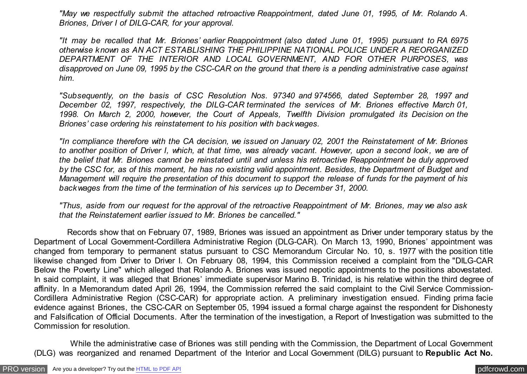*"May we respectfully submit the attached retroactive Reappointment, dated June 01, 1995, of Mr. Rolando A. Briones, Driver I of DILG-CAR, for your approval.*

*"It may be recalled that Mr. Briones' earlier Reappointment (also dated June 01, 1995) pursuant to RA 6975 otherwise known as AN ACT ESTABLISHING THE PHILIPPINE NATIONAL POLICE UNDER A REORGANIZED DEPARTMENT OF THE INTERIOR AND LOCAL GOVERNMENT, AND FOR OTHER PURPOSES, was disapproved on June 09, 1995 by the CSC-CAR on the ground that there is a pending administrative case against him.*

*"Subsequently, on the basis of CSC Resolution Nos. 97340 and 974566, dated September 28, 1997 and December 02, 1997, respectively, the DILG-CAR terminated the services of Mr. Briones effective March 01, 1998. On March 2, 2000, however, the Court of Appeals, Twelfth Division promulgated its Decision on the Briones' case ordering his reinstatement to his position with backwages.*

*"In compliance therefore with the CA decision, we issued on January 02, 2001 the Reinstatement of Mr. Briones to another position of Driver I, which, at that time, was already vacant. However, upon a second look, we are of the belief that Mr. Briones cannot be reinstated until and unless his retroactive Reappointment be duly approved by the CSC for, as of this moment, he has no existing valid appointment. Besides, the Department of Budget and Management will require the presentation of this document to support the release of funds for the payment of his backwages from the time of the termination of his services up to December 31, 2000.*

*"Thus, aside from our request for the approval of the retroactive Reappointment of Mr. Briones, may we also ask that the Reinstatement earlier issued to Mr. Briones be cancelled."*

 Records show that on February 07, 1989, Briones was issued an appointment as Driver under temporary status by the Department of Local Government-Cordillera Administrative Region (DLG-CAR). On March 13, 1990, Briones' appointment was changed from temporary to permanent status pursuant to CSC Memorandum Circular No. 10, s. 1977 with the position title likewise changed from Driver to Driver I. On February 08, 1994, this Commission received a complaint from the "DILG-CAR Below the Poverty Line" which alleged that Rolando A. Briones was issued nepotic appointments to the positions abovestated. In said complaint, it was alleged that Briones' immediate supervisor Marino B. Trinidad, is his relative within the third degree of affinity. In a Memorandum dated April 26, 1994, the Commission referred the said complaint to the Civil Service Commission-Cordillera Administrative Region (CSC-CAR) for appropriate action. A preliminary investigation ensued. Finding prima facie evidence against Briones, the CSC-CAR on September 05, 1994 issued a formal charge against the respondent for Dishonesty and Falsification of Official Documents. After the termination of the investigation, a Report of Investigation was submitted to the Commission for resolution.

 While the administrative case of Briones was still pending with the Commission, the Department of Local Government (DLG) was reorganized and renamed Department of the Interior and Local Government (DILG) pursuant to **Republic Act No.**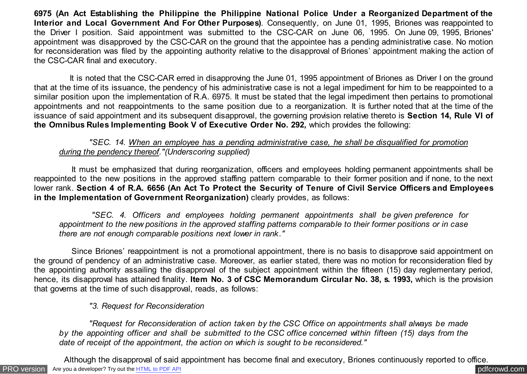**6975 (An Act Establishing the Philippine the Philippine National Police Under a Reorganized Department of the Interior and Local Government And For Other Purposes)**. Consequently, on June 01, 1995, Briones was reappointed to the Driver I position. Said appointment was submitted to the CSC-CAR on June 06, 1995. On June 09, 1995, Briones' appointment was disapproved by the CSC-CAR on the ground that the appointee has a pending administrative case. No motion for reconsideration was filed by the appointing authority relative to the disapproval of Briones' appointment making the action of the CSC-CAR final and executory.

 It is noted that the CSC-CAR erred in disapproving the June 01, 1995 appointment of Briones as Driver I on the ground that at the time of its issuance, the pendency of his administrative case is not a legal impediment for him to be reappointed to a similar position upon the implementation of R.A. 6975. It must be stated that the legal impediment then pertains to promotional appointments and not reappointments to the same position due to a reorganization. It is further noted that at the time of the issuance of said appointment and its subsequent disapproval, the governing provision relative thereto is **Section 14, Rule VI of the Omnibus Rules Implementing Book V of Executive Order No. 292,** which provides the following:

## *"SEC. 14. When an employee has a pending administrative case, he shall be disqualified for promotion during the pendency thereof."(Underscoring supplied)*

 It must be emphasized that during reorganization, officers and employees holding permanent appointments shall be reappointed to the new positions in the approved staffing pattern comparable to their former position and if none, to the next lower rank. **Section 4 of R.A. 6656 (An Act To Protect the Security of Tenure of Civil Service Officers and Employees in the Implementation of Government Reorganization)** clearly provides, as follows:

 *"SEC. 4. Officers and employees holding permanent appointments shall be given preference for appointment to the new positions in the approved staffing patterns comparable to their former positions or in case there are not enough comparable positions next lower in rank."*

 Since Briones' reappointment is not a promotional appointment, there is no basis to disapprove said appointment on the ground of pendency of an administrative case. Moreover, as earlier stated, there was no motion for reconsideration filed by the appointing authority assailing the disapproval of the subject appointment within the fifteen (15) day reglementary period, hence, its disapproval has attained finality. **Item No. 3 of CSC Memorandum Circular No. 38, s. 1993,** which is the provision that governs at the time of such disapproval, reads, as follows:

# *"3. Request for Reconsideration*

 *"Request for Reconsideration of action taken by the CSC Office on appointments shall always be made by the appointing officer and shall be submitted to the CSC office concerned within fifteen (15) days from the date of receipt of the appointment, the action on which is sought to be reconsidered."*

[PRO version](http://pdfcrowd.com/customize/) Are you a developer? Try out th[e HTML to PDF API](http://pdfcrowd.com/html-to-pdf-api/?ref=pdf) compared to the CHTML of PDF API [pdfcrowd.com](http://pdfcrowd.com) Although the disapproval of said appointment has become final and executory, Briones continuously reported to office.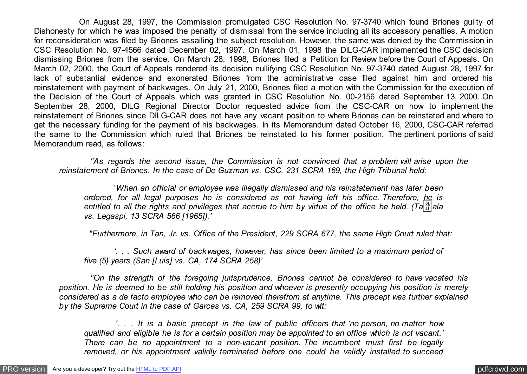On August 28, 1997, the Commission promulgated CSC Resolution No. 97-3740 which found Briones guilty of Dishonesty for which he was imposed the penalty of dismissal from the service including all its accessory penalties. A motion for reconsideration was filed by Briones assailing the subject resolution. However, the same was denied by the Commission in CSC Resolution No. 97-4566 dated December 02, 1997. On March 01, 1998 the DILG-CAR implemented the CSC decision dismissing Briones from the service. On March 28, 1998, Briones filed a Petition for Review before the Court of Appeals. On March 02, 2000, the Court of Appeals rendered its decision nullifying CSC Resolution No. 97-3740 dated August 28, 1997 for lack of substantial evidence and exonerated Briones from the administrative case filed against him and ordered his reinstatement with payment of backwages. On July 21, 2000, Briones filed a motion with the Commission for the execution of the Decision of the Court of Appeals which was granted in CSC Resolution No. 00-2156 dated September 13, 2000. On September 28, 2000, DILG Regional Director Doctor requested advice from the CSC-CAR on how to implement the reinstatement of Briones since DILG-CAR does not have any vacant position to where Briones can be reinstated and where to get the necessary funding for the payment of his backwages. In its Memorandum dated October 16, 2000, CSC-CAR referred the same to the Commission which ruled that Briones be reinstated to his former position. The pertinent portions of said Memorandum read, as follows:

 *"As regards the second issue, the Commission is not convinced that a problem will arise upon the reinstatement of Briones. In the case of De Guzman vs. CSC, 231 SCRA 169, the High Tribunal held:*

 '*When an official or employee was illegally dismissed and his reinstatement has later been ordered, for all legal purposes he is considered as not having left his office. Therefore, he is entitled to all the rights and privileges that accrue to him by virtue of the office he held. (Ta*�*ala vs. Legaspi, 13 SCRA 566 [1965]).'*

 *"Furthermore, in Tan, Jr. vs. Office of the President, 229 SCRA 677, the same High Court ruled that:*

 *'. . . Such award of backwages, however, has since been limited to a maximum period of five (5) years (San [Luis] vs. CA, 174 SCRA 258)'*

 *"On the strength of the foregoing jurisprudence, Briones cannot be considered to have vacated his position. He is deemed to be still holding his position and whoever is presently occupying his position is merely considered as a de facto employee who can be removed therefrom at anytime. This precept was further explained by the Supreme Court in the case of Garces vs. CA, 259 SCRA 99, to wit:*

 *'. . . It is a basic precept in the law of public officers that 'no person, no matter how qualified and eligible he is for a certain position may be appointed to an office which is not vacant.' There can be no appointment to a non-vacant position. The incumbent must first be legally removed, or his appointment validly terminated before one could be validly installed to succeed*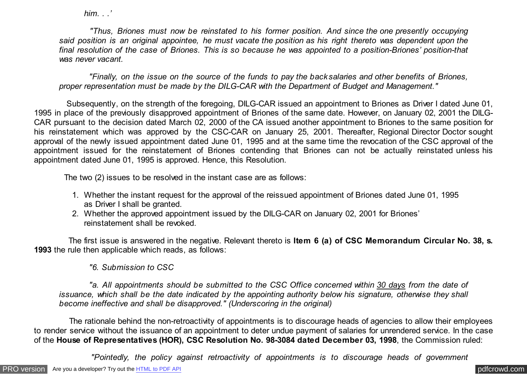*him. . .'*

 *"Thus, Briones must now be reinstated to his former position. And since the one presently occupying said position is an original appointee, he must vacate the position as his right thereto was dependent upon the final resolution of the case of Briones. This is so because he was appointed to a position-Briones' position-that was never vacant.*

 *"Finally, on the issue on the source of the funds to pay the backsalaries and other benefits of Briones, proper representation must be made by the DILG-CAR with the Department of Budget and Management."*

 Subsequently, on the strength of the foregoing, DILG-CAR issued an appointment to Briones as Driver I dated June 01, 1995 in place of the previously disapproved appointment of Briones of the same date. However, on January 02, 2001 the DILG-CAR pursuant to the decision dated March 02, 2000 of the CA issued another appointment to Briones to the same position for his reinstatement which was approved by the CSC-CAR on January 25, 2001. Thereafter, Regional Director Doctor sought approval of the newly issued appointment dated June 01, 1995 and at the same time the revocation of the CSC approval of the appointment issued for the reinstatement of Briones contending that Briones can not be actually reinstated unless his appointment dated June 01, 1995 is approved. Hence, this Resolution.

The two (2) issues to be resolved in the instant case are as follows:

- 1. Whether the instant request for the approval of the reissued appointment of Briones dated June 01, 1995 as Driver I shall be granted.
- 2. Whether the approved appointment issued by the DILG-CAR on January 02, 2001 for Briones' reinstatement shall be revoked.

 The first issue is answered in the negative. Relevant thereto is **Item 6 (a) of CSC Memorandum Circular No. 38, s. 1993** the rule then applicable which reads, as follows:

 *"6. Submission to CSC*

 *"a. All appointments should be submitted to the CSC Office concerned within 30 days from the date of issuance, which shall be the date indicated by the appointing authority below his signature, otherwise they shall become ineffective and shall be disapproved." (Underscoring in the original)*

 The rationale behind the non-retroactivity of appointments is to discourage heads of agencies to allow their employees to render service without the issuance of an appointment to deter undue payment of salaries for unrendered service. In the case of the **House of Representatives (HOR), CSC Resolution No. 98-3084 dated December 03, 1998**, the Commission ruled:

 *"Pointedly, the policy against retroactivity of appointments is to discourage heads of government*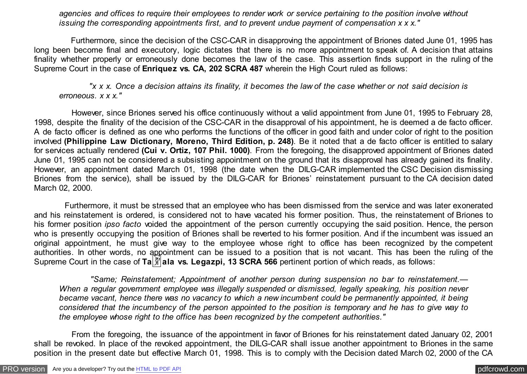*agencies and offices to require their employees to render work or service pertaining to the position involve without issuing the corresponding appointments first, and to prevent undue payment of compensation x x x."*

 Furthermore, since the decision of the CSC-CAR in disapproving the appointment of Briones dated June 01, 1995 has long been become final and executory, logic dictates that there is no more appointment to speak of. A decision that attains finality whether properly or erroneously done becomes the law of the case. This assertion finds support in the ruling of the Supreme Court in the case of **Enriquez vs. CA, 202 SCRA 487** wherein the High Court ruled as follows:

 *"x x x. Once a decision attains its finality, it becomes the law of the case whether or not said decision is erroneous. x x x."*

 However, since Briones served his office continuously without a valid appointment from June 01, 1995 to February 28, 1998, despite the finality of the decision of the CSC-CAR in the disapproval of his appointment, he is deemed a de facto officer. A de facto officer is defined as one who performs the functions of the officer in good faith and under color of right to the position involved **(Philippine Law Dictionary, Moreno, Third Edition, p. 248)**. Be it noted that a de facto officer is entitled to salary for services actually rendered **(Cui v. Ortiz, 107 Phil. 1000)**. From the foregoing, the disapproved appointment of Briones dated June 01, 1995 can not be considered a subsisting appointment on the ground that its disapproval has already gained its finality. However, an appointment dated March 01, 1998 (the date when the DILG-CAR implemented the CSC Decision dismissing Briones from the service), shall be issued by the DILG-CAR for Briones' reinstatement pursuant to the CA decision dated March 02, 2000.

 Furthermore, it must be stressed that an employee who has been dismissed from the service and was later exonerated and his reinstatement is ordered, is considered not to have vacated his former position. Thus, the reinstatement of Briones to his former position *ipso facto* voided the appointment of the person currently occupying the said position. Hence, the person who is presently occupying the position of Briones shall be reverted to his former position. And if the incumbent was issued an original appointment, he must give way to the employee whose right to office has been recognized by the competent authorities. In other words, no appointment can be issued to a position that is not vacant. This has been the ruling of the Supreme Court in the case of **Ta** $\frac{24}{11}$ **ala vs. Legazpi, 13 SCRA 566** pertinent portion of which reads, as follows:

 *"Same; Reinstatement; Appointment of another person during suspension no bar to reinstatement.— When a regular government employee was illegally suspended or dismissed, legally speaking, his position never became vacant, hence there was no vacancy to which a new incumbent could be permanently appointed, it being considered that the incumbency of the person appointed to the position is temporary and he has to give way to the employee whose right to the office has been recognized by the competent authorities."*

 From the foregoing, the issuance of the appointment in favor of Briones for his reinstatement dated January 02, 2001 shall be revoked. In place of the revoked appointment, the DILG-CAR shall issue another appointment to Briones in the same position in the present date but effective March 01, 1998. This is to comply with the Decision dated March 02, 2000 of the CA